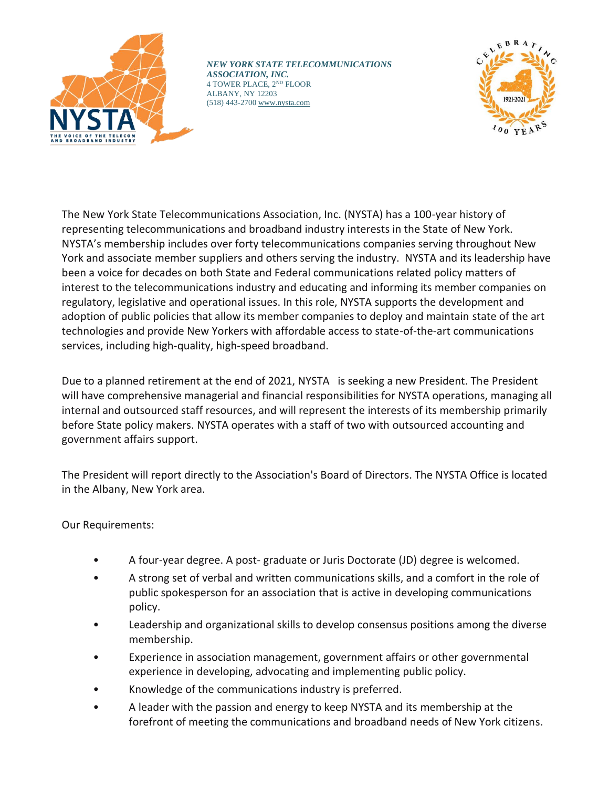

*NEW YORK STATE TELECOMMUNICATIONS ASSOCIATION, INC.* 4 TOWER PLACE, 2ND FLOOR ALBANY, NY 12203 (518) 443-2700 [www.nysta.com](http://www.nysta.com/)



The New York State Telecommunications Association, Inc. (NYSTA) has a 100-year history of representing telecommunications and broadband industry interests in the State of New York. NYSTA's membership includes over forty telecommunications companies serving throughout New York and associate member suppliers and others serving the industry. NYSTA and its leadership have been a voice for decades on both State and Federal communications related policy matters of interest to the telecommunications industry and educating and informing its member companies on regulatory, legislative and operational issues. In this role, NYSTA supports the development and adoption of public policies that allow its member companies to deploy and maintain state of the art technologies and provide New Yorkers with affordable access to state-of-the-art communications services, including high-quality, high-speed broadband.

Due to a planned retirement at the end of 2021, NYSTA is seeking a new President. The President will have comprehensive managerial and financial responsibilities for NYSTA operations, managing all internal and outsourced staff resources, and will represent the interests of its membership primarily before State policy makers. NYSTA operates with a staff of two with outsourced accounting and government affairs support.

The President will report directly to the Association's Board of Directors. The NYSTA Office is located in the Albany, New York area.

Our Requirements:

- A four-year degree. A post- graduate or Juris Doctorate (JD) degree is welcomed.
- A strong set of verbal and written communications skills, and a comfort in the role of public spokesperson for an association that is active in developing communications policy.
- Leadership and organizational skills to develop consensus positions among the diverse membership.
- Experience in association management, government affairs or other governmental experience in developing, advocating and implementing public policy.
- Knowledge of the communications industry is preferred.
- A leader with the passion and energy to keep NYSTA and its membership at the forefront of meeting the communications and broadband needs of New York citizens.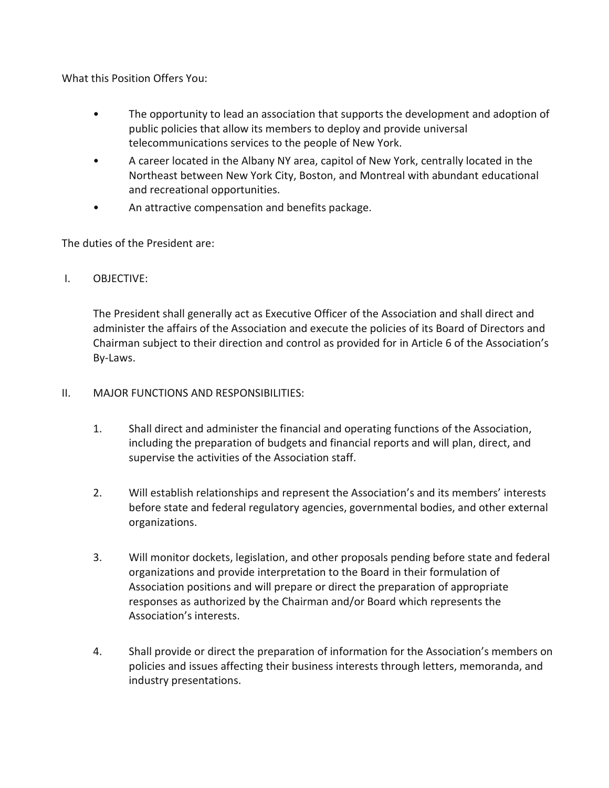What this Position Offers You:

- The opportunity to lead an association that supports the development and adoption of public policies that allow its members to deploy and provide universal telecommunications services to the people of New York.
- A career located in the Albany NY area, capitol of New York, centrally located in the Northeast between New York City, Boston, and Montreal with abundant educational and recreational opportunities.
- An attractive compensation and benefits package.

The duties of the President are:

## I. OBJECTIVE:

The President shall generally act as Executive Officer of the Association and shall direct and administer the affairs of the Association and execute the policies of its Board of Directors and Chairman subject to their direction and control as provided for in Article 6 of the Association's By-Laws.

- II. MAJOR FUNCTIONS AND RESPONSIBILITIES:
	- 1. Shall direct and administer the financial and operating functions of the Association, including the preparation of budgets and financial reports and will plan, direct, and supervise the activities of the Association staff.
	- 2. Will establish relationships and represent the Association's and its members' interests before state and federal regulatory agencies, governmental bodies, and other external organizations.
	- 3. Will monitor dockets, legislation, and other proposals pending before state and federal organizations and provide interpretation to the Board in their formulation of Association positions and will prepare or direct the preparation of appropriate responses as authorized by the Chairman and/or Board which represents the Association's interests.
	- 4. Shall provide or direct the preparation of information for the Association's members on policies and issues affecting their business interests through letters, memoranda, and industry presentations.